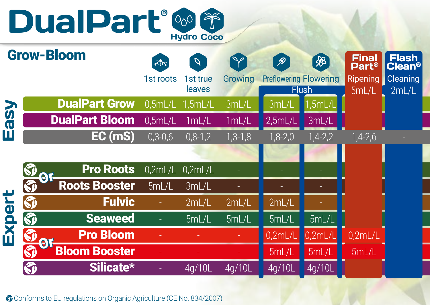



Conforms to EU regulations on Organic Agriculture (CE No. 834/2007)